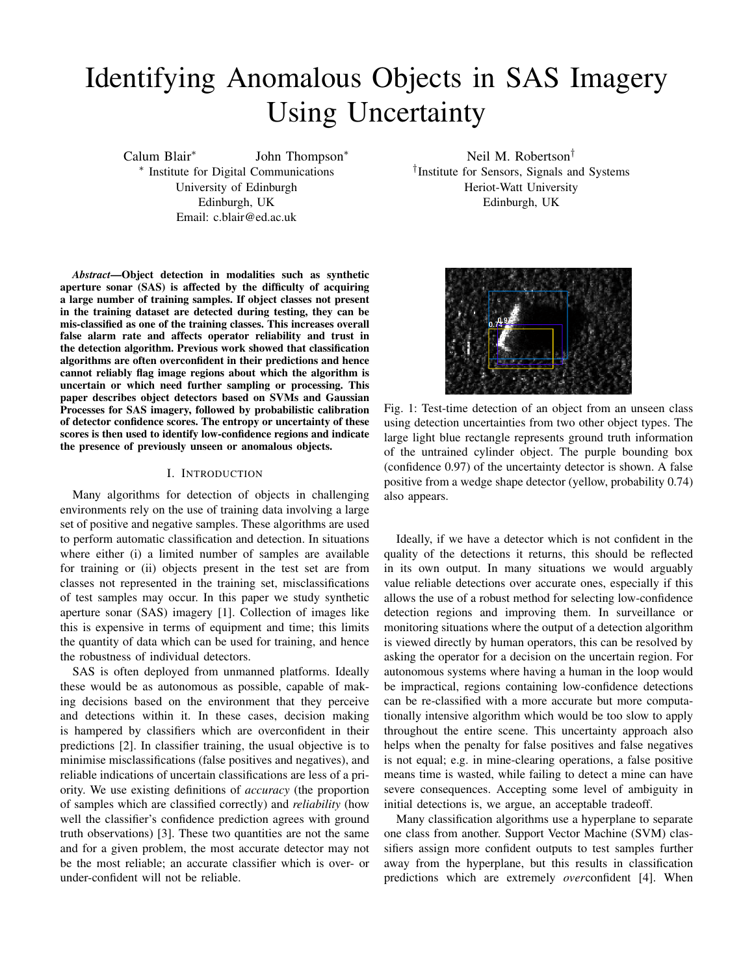# Identifying Anomalous Objects in SAS Imagery Using Uncertainty

Calum Blair<sup>∗</sup>

John Thompson<sup>∗</sup> ∗ Institute for Digital Communications University of Edinburgh Edinburgh, UK Email: c.blair@ed.ac.uk

*Abstract*—Object detection in modalities such as synthetic aperture sonar (SAS) is affected by the difficulty of acquiring a large number of training samples. If object classes not present in the training dataset are detected during testing, they can be mis-classified as one of the training classes. This increases overall false alarm rate and affects operator reliability and trust in the detection algorithm. Previous work showed that classification algorithms are often overconfident in their predictions and hence cannot reliably flag image regions about which the algorithm is uncertain or which need further sampling or processing. This paper describes object detectors based on SVMs and Gaussian Processes for SAS imagery, followed by probabilistic calibration of detector confidence scores. The entropy or uncertainty of these scores is then used to identify low-confidence regions and indicate the presence of previously unseen or anomalous objects.

#### I. INTRODUCTION

Many algorithms for detection of objects in challenging environments rely on the use of training data involving a large set of positive and negative samples. These algorithms are used to perform automatic classification and detection. In situations where either (i) a limited number of samples are available for training or (ii) objects present in the test set are from classes not represented in the training set, misclassifications of test samples may occur. In this paper we study synthetic aperture sonar (SAS) imagery [1]. Collection of images like this is expensive in terms of equipment and time; this limits the quantity of data which can be used for training, and hence the robustness of individual detectors.

SAS is often deployed from unmanned platforms. Ideally these would be as autonomous as possible, capable of making decisions based on the environment that they perceive and detections within it. In these cases, decision making is hampered by classifiers which are overconfident in their predictions [2]. In classifier training, the usual objective is to minimise misclassifications (false positives and negatives), and reliable indications of uncertain classifications are less of a priority. We use existing definitions of *accuracy* (the proportion of samples which are classified correctly) and *reliability* (how well the classifier's confidence prediction agrees with ground truth observations) [3]. These two quantities are not the same and for a given problem, the most accurate detector may not be the most reliable; an accurate classifier which is over- or under-confident will not be reliable.

Neil M. Robertson† † Institute for Sensors, Signals and Systems Heriot-Watt University Edinburgh, UK



Fig. 1: Test-time detection of an object from an unseen class using detection uncertainties from two other object types. The large light blue rectangle represents ground truth information of the untrained cylinder object. The purple bounding box (confidence 0.97) of the uncertainty detector is shown. A false positive from a wedge shape detector (yellow, probability 0.74) also appears.

Ideally, if we have a detector which is not confident in the quality of the detections it returns, this should be reflected in its own output. In many situations we would arguably value reliable detections over accurate ones, especially if this allows the use of a robust method for selecting low-confidence detection regions and improving them. In surveillance or monitoring situations where the output of a detection algorithm is viewed directly by human operators, this can be resolved by asking the operator for a decision on the uncertain region. For autonomous systems where having a human in the loop would be impractical, regions containing low-confidence detections can be re-classified with a more accurate but more computationally intensive algorithm which would be too slow to apply throughout the entire scene. This uncertainty approach also helps when the penalty for false positives and false negatives is not equal; e.g. in mine-clearing operations, a false positive means time is wasted, while failing to detect a mine can have severe consequences. Accepting some level of ambiguity in initial detections is, we argue, an acceptable tradeoff.

Many classification algorithms use a hyperplane to separate one class from another. Support Vector Machine (SVM) classifiers assign more confident outputs to test samples further away from the hyperplane, but this results in classification predictions which are extremely *over*confident [4]. When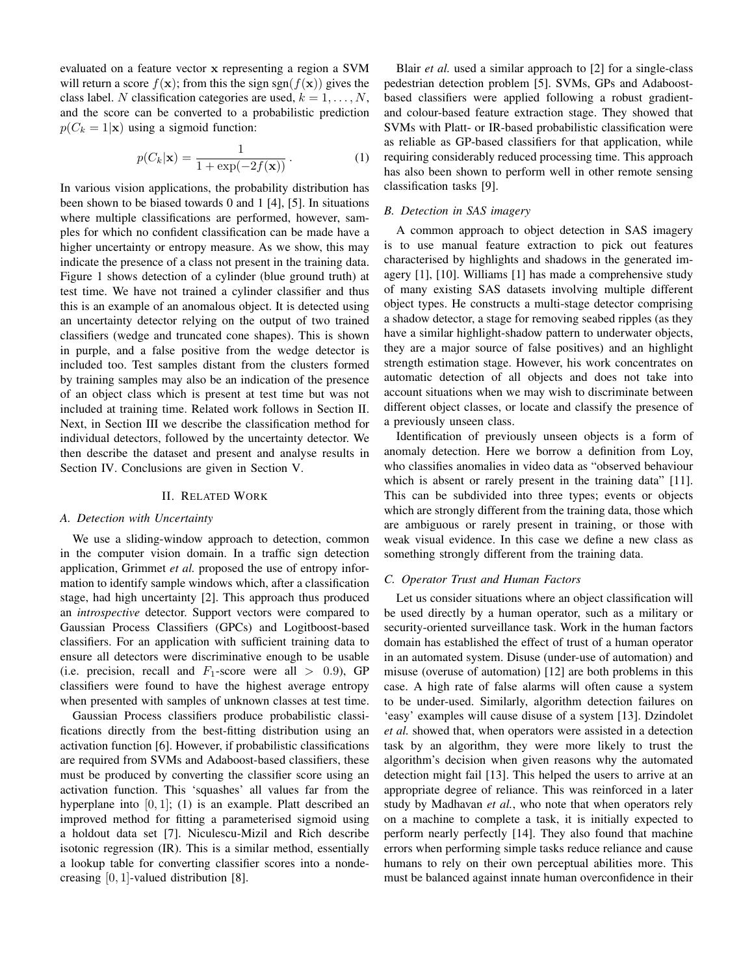evaluated on a feature vector x representing a region a SVM will return a score  $f(\mathbf{x})$ ; from this the sign sgn( $f(\mathbf{x})$ ) gives the class label. N classification categories are used,  $k = 1, \ldots, N$ , and the score can be converted to a probabilistic prediction  $p(C_k = 1|\mathbf{x})$  using a sigmoid function:

$$
p(C_k|\mathbf{x}) = \frac{1}{1 + \exp(-2f(\mathbf{x}))}.
$$
 (1)

In various vision applications, the probability distribution has been shown to be biased towards 0 and 1 [4], [5]. In situations where multiple classifications are performed, however, samples for which no confident classification can be made have a higher uncertainty or entropy measure. As we show, this may indicate the presence of a class not present in the training data. Figure 1 shows detection of a cylinder (blue ground truth) at test time. We have not trained a cylinder classifier and thus this is an example of an anomalous object. It is detected using an uncertainty detector relying on the output of two trained classifiers (wedge and truncated cone shapes). This is shown in purple, and a false positive from the wedge detector is included too. Test samples distant from the clusters formed by training samples may also be an indication of the presence of an object class which is present at test time but was not included at training time. Related work follows in Section II. Next, in Section III we describe the classification method for individual detectors, followed by the uncertainty detector. We then describe the dataset and present and analyse results in Section IV. Conclusions are given in Section V.

#### II. RELATED WORK

#### *A. Detection with Uncertainty*

We use a sliding-window approach to detection, common in the computer vision domain. In a traffic sign detection application, Grimmet *et al.* proposed the use of entropy information to identify sample windows which, after a classification stage, had high uncertainty [2]. This approach thus produced an *introspective* detector. Support vectors were compared to Gaussian Process Classifiers (GPCs) and Logitboost-based classifiers. For an application with sufficient training data to ensure all detectors were discriminative enough to be usable (i.e. precision, recall and  $F_1$ -score were all  $> 0.9$ ), GP classifiers were found to have the highest average entropy when presented with samples of unknown classes at test time.

Gaussian Process classifiers produce probabilistic classifications directly from the best-fitting distribution using an activation function [6]. However, if probabilistic classifications are required from SVMs and Adaboost-based classifiers, these must be produced by converting the classifier score using an activation function. This 'squashes' all values far from the hyperplane into  $[0, 1]$ ; (1) is an example. Platt described an improved method for fitting a parameterised sigmoid using a holdout data set [7]. Niculescu-Mizil and Rich describe isotonic regression (IR). This is a similar method, essentially a lookup table for converting classifier scores into a nondecreasing [0, 1]-valued distribution [8].

Blair *et al.* used a similar approach to [2] for a single-class pedestrian detection problem [5]. SVMs, GPs and Adaboostbased classifiers were applied following a robust gradientand colour-based feature extraction stage. They showed that SVMs with Platt- or IR-based probabilistic classification were as reliable as GP-based classifiers for that application, while requiring considerably reduced processing time. This approach has also been shown to perform well in other remote sensing classification tasks [9].

## *B. Detection in SAS imagery*

A common approach to object detection in SAS imagery is to use manual feature extraction to pick out features characterised by highlights and shadows in the generated imagery [1], [10]. Williams [1] has made a comprehensive study of many existing SAS datasets involving multiple different object types. He constructs a multi-stage detector comprising a shadow detector, a stage for removing seabed ripples (as they have a similar highlight-shadow pattern to underwater objects, they are a major source of false positives) and an highlight strength estimation stage. However, his work concentrates on automatic detection of all objects and does not take into account situations when we may wish to discriminate between different object classes, or locate and classify the presence of a previously unseen class.

Identification of previously unseen objects is a form of anomaly detection. Here we borrow a definition from Loy, who classifies anomalies in video data as "observed behaviour which is absent or rarely present in the training data" [11]. This can be subdivided into three types; events or objects which are strongly different from the training data, those which are ambiguous or rarely present in training, or those with weak visual evidence. In this case we define a new class as something strongly different from the training data.

# *C. Operator Trust and Human Factors*

Let us consider situations where an object classification will be used directly by a human operator, such as a military or security-oriented surveillance task. Work in the human factors domain has established the effect of trust of a human operator in an automated system. Disuse (under-use of automation) and misuse (overuse of automation) [12] are both problems in this case. A high rate of false alarms will often cause a system to be under-used. Similarly, algorithm detection failures on 'easy' examples will cause disuse of a system [13]. Dzindolet *et al.* showed that, when operators were assisted in a detection task by an algorithm, they were more likely to trust the algorithm's decision when given reasons why the automated detection might fail [13]. This helped the users to arrive at an appropriate degree of reliance. This was reinforced in a later study by Madhavan *et al.*, who note that when operators rely on a machine to complete a task, it is initially expected to perform nearly perfectly [14]. They also found that machine errors when performing simple tasks reduce reliance and cause humans to rely on their own perceptual abilities more. This must be balanced against innate human overconfidence in their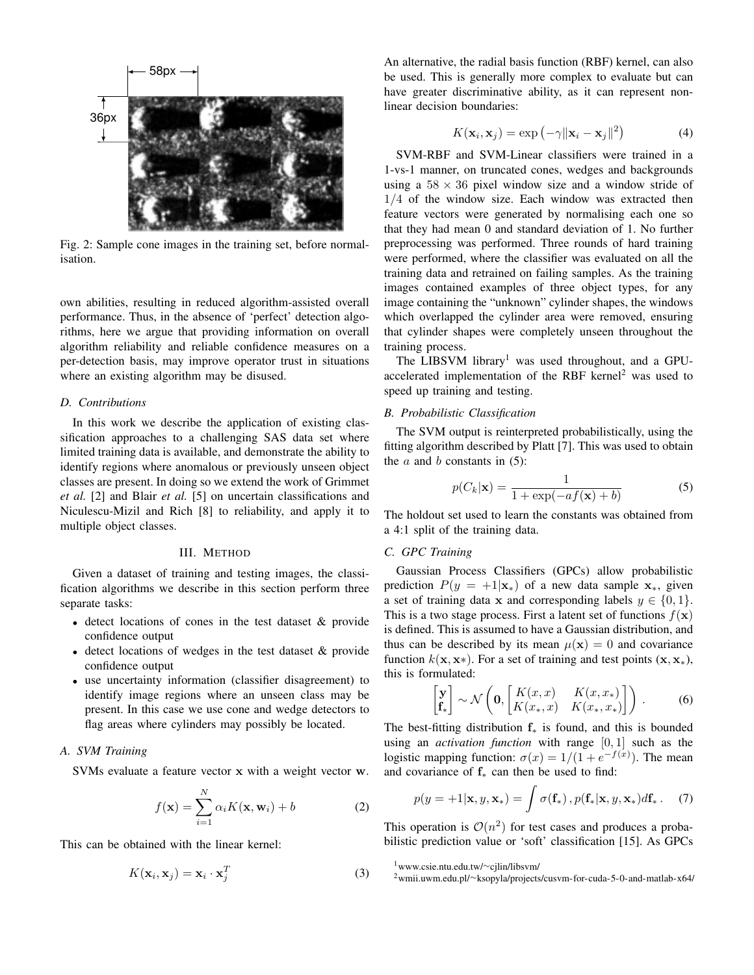

Fig. 2: Sample cone images in the training set, before normalisation.

own abilities, resulting in reduced algorithm-assisted overall performance. Thus, in the absence of 'perfect' detection algorithms, here we argue that providing information on overall algorithm reliability and reliable confidence measures on a per-detection basis, may improve operator trust in situations where an existing algorithm may be disused.

#### *D. Contributions*

In this work we describe the application of existing classification approaches to a challenging SAS data set where limited training data is available, and demonstrate the ability to identify regions where anomalous or previously unseen object classes are present. In doing so we extend the work of Grimmet *et al.* [2] and Blair *et al.* [5] on uncertain classifications and Niculescu-Mizil and Rich [8] to reliability, and apply it to multiple object classes.

#### III. METHOD

Given a dataset of training and testing images, the classification algorithms we describe in this section perform three separate tasks:

- detect locations of cones in the test dataset & provide confidence output
- detect locations of wedges in the test dataset & provide confidence output
- use uncertainty information (classifier disagreement) to identify image regions where an unseen class may be present. In this case we use cone and wedge detectors to flag areas where cylinders may possibly be located.

## *A. SVM Training*

SVMs evaluate a feature vector x with a weight vector w.

$$
f(\mathbf{x}) = \sum_{i=1}^{N} \alpha_i K(\mathbf{x}, \mathbf{w}_i) + b
$$
 (2)

This can be obtained with the linear kernel:

$$
K(\mathbf{x}_i, \mathbf{x}_j) = \mathbf{x}_i \cdot \mathbf{x}_j^T
$$
 (3)

An alternative, the radial basis function (RBF) kernel, can also be used. This is generally more complex to evaluate but can have greater discriminative ability, as it can represent nonlinear decision boundaries:

$$
K(\mathbf{x}_i, \mathbf{x}_j) = \exp(-\gamma \|\mathbf{x}_i - \mathbf{x}_j\|^2)
$$
 (4)

SVM-RBF and SVM-Linear classifiers were trained in a 1-vs-1 manner, on truncated cones, wedges and backgrounds using a  $58 \times 36$  pixel window size and a window stride of 1/4 of the window size. Each window was extracted then feature vectors were generated by normalising each one so that they had mean 0 and standard deviation of 1. No further preprocessing was performed. Three rounds of hard training were performed, where the classifier was evaluated on all the training data and retrained on failing samples. As the training images contained examples of three object types, for any image containing the "unknown" cylinder shapes, the windows which overlapped the cylinder area were removed, ensuring that cylinder shapes were completely unseen throughout the training process.

The LIBSVM library<sup>1</sup> was used throughout, and a GPUaccelerated implementation of the RBF kernel<sup>2</sup> was used to speed up training and testing.

## *B. Probabilistic Classification*

The SVM output is reinterpreted probabilistically, using the fitting algorithm described by Platt [7]. This was used to obtain the  $a$  and  $b$  constants in (5):

$$
p(C_k|\mathbf{x}) = \frac{1}{1 + \exp(-af(\mathbf{x}) + b)}
$$
(5)

The holdout set used to learn the constants was obtained from a 4:1 split of the training data.

## *C. GPC Training*

Gaussian Process Classifiers (GPCs) allow probabilistic prediction  $P(y = +1|\mathbf{x}_*)$  of a new data sample  $\mathbf{x}_*$ , given a set of training data x and corresponding labels  $y \in \{0, 1\}$ . This is a two stage process. First a latent set of functions  $f(\mathbf{x})$ is defined. This is assumed to have a Gaussian distribution, and thus can be described by its mean  $\mu(\mathbf{x}) = 0$  and covariance function  $k(x, x*)$ . For a set of training and test points  $(x, x_*)$ , this is formulated:

$$
\begin{bmatrix} \mathbf{y} \\ \mathbf{f}_* \end{bmatrix} \sim \mathcal{N} \left( \mathbf{0}, \begin{bmatrix} K(x,x) & K(x,x_*) \\ K(x_*,x) & K(x_*,x_*) \end{bmatrix} \right). \tag{6}
$$

The best-fitting distribution  $f_*$  is found, and this is bounded using an *activation function* with range [0, 1] such as the logistic mapping function:  $\sigma(x) = 1/(1 + e^{-f(x)})$ . The mean and covariance of  $f_*$  can then be used to find:

$$
p(y = +1|\mathbf{x}, y, \mathbf{x}_*) = \int \sigma(\mathbf{f}_*), p(\mathbf{f}_*|\mathbf{x}, y, \mathbf{x}_*) d\mathbf{f}_*.
$$
 (7)

This operation is  $\mathcal{O}(n^2)$  for test cases and produces a probabilistic prediction value or 'soft' classification [15]. As GPCs

<sup>1</sup>www.csie.ntu.edu.tw/∼cjlin/libsvm/

<sup>2</sup>wmii.uwm.edu.pl/∼ksopyla/projects/cusvm-for-cuda-5-0-and-matlab-x64/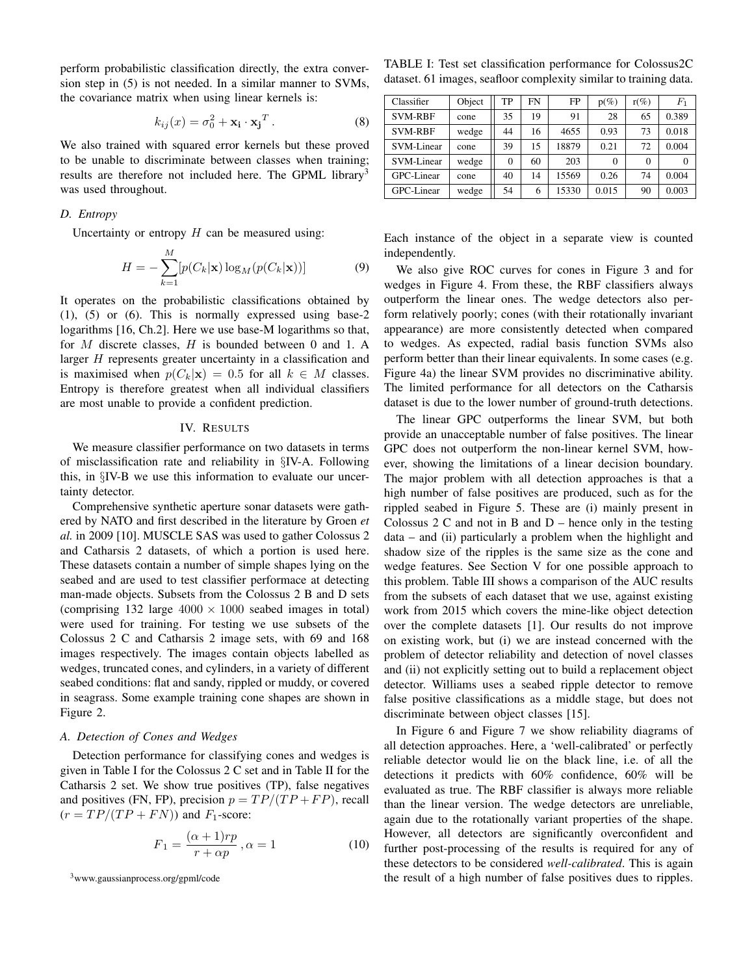perform probabilistic classification directly, the extra conversion step in (5) is not needed. In a similar manner to SVMs, the covariance matrix when using linear kernels is:

$$
k_{ij}(x) = \sigma_0^2 + \mathbf{x_i} \cdot \mathbf{x_j}^T.
$$
 (8)

We also trained with squared error kernels but these proved to be unable to discriminate between classes when training; results are therefore not included here. The GPML library<sup>3</sup> was used throughout.

## *D. Entropy*

Uncertainty or entropy  $H$  can be measured using:

$$
H = -\sum_{k=1}^{M} [p(C_k|\mathbf{x}) \log_M(p(C_k|\mathbf{x}))]
$$
(9)

It operates on the probabilistic classifications obtained by (1), (5) or (6). This is normally expressed using base-2 logarithms [16, Ch.2]. Here we use base-M logarithms so that, for  $M$  discrete classes,  $H$  is bounded between 0 and 1. A larger H represents greater uncertainty in a classification and is maximised when  $p(C_k|\mathbf{x}) = 0.5$  for all  $k \in M$  classes. Entropy is therefore greatest when all individual classifiers are most unable to provide a confident prediction.

## IV. RESULTS

We measure classifier performance on two datasets in terms of misclassification rate and reliability in §IV-A. Following this, in §IV-B we use this information to evaluate our uncertainty detector.

Comprehensive synthetic aperture sonar datasets were gathered by NATO and first described in the literature by Groen *et al.* in 2009 [10]. MUSCLE SAS was used to gather Colossus 2 and Catharsis 2 datasets, of which a portion is used here. These datasets contain a number of simple shapes lying on the seabed and are used to test classifier performace at detecting man-made objects. Subsets from the Colossus 2 B and D sets (comprising 132 large  $4000 \times 1000$  seabed images in total) were used for training. For testing we use subsets of the Colossus 2 C and Catharsis 2 image sets, with 69 and 168 images respectively. The images contain objects labelled as wedges, truncated cones, and cylinders, in a variety of different seabed conditions: flat and sandy, rippled or muddy, or covered in seagrass. Some example training cone shapes are shown in Figure 2.

## *A. Detection of Cones and Wedges*

Detection performance for classifying cones and wedges is given in Table I for the Colossus 2 C set and in Table II for the Catharsis 2 set. We show true positives (TP), false negatives and positives (FN, FP), precision  $p = TP/(TP + FP)$ , recall  $(r = TP/(TP + FN))$  and  $F_1$ -score:

$$
F_1 = \frac{(\alpha + 1)rp}{r + \alpha p}, \alpha = 1
$$
\n(10)

TABLE I: Test set classification performance for Colossus2C dataset. 61 images, seafloor complexity similar to training data.

| Classifier     | Object | TP       | <b>FN</b> | FP    | $p(\%)$  | $r(\%)$  | $F_1$    |
|----------------|--------|----------|-----------|-------|----------|----------|----------|
| <b>SVM-RBF</b> | cone   | 35       | 19        | 91    | 28       | 65       | 0.389    |
| <b>SVM-RBF</b> | wedge  | 44       | 16        | 4655  | 0.93     | 73       | 0.018    |
| SVM-Linear     | cone   | 39       | 15        | 18879 | 0.21     | 72       | 0.004    |
| SVM-Linear     | wedge  | $\Omega$ | 60        | 203   | $\Omega$ | $\Omega$ | $\theta$ |
| GPC-Linear     | cone   | 40       | 14        | 15569 | 0.26     | 74       | 0.004    |
| GPC-Linear     | wedge  | 54       | 6         | 15330 | 0.015    | 90       | 0.003    |

Each instance of the object in a separate view is counted independently.

We also give ROC curves for cones in Figure 3 and for wedges in Figure 4. From these, the RBF classifiers always outperform the linear ones. The wedge detectors also perform relatively poorly; cones (with their rotationally invariant appearance) are more consistently detected when compared to wedges. As expected, radial basis function SVMs also perform better than their linear equivalents. In some cases (e.g. Figure 4a) the linear SVM provides no discriminative ability. The limited performance for all detectors on the Catharsis dataset is due to the lower number of ground-truth detections.

The linear GPC outperforms the linear SVM, but both provide an unacceptable number of false positives. The linear GPC does not outperform the non-linear kernel SVM, however, showing the limitations of a linear decision boundary. The major problem with all detection approaches is that a high number of false positives are produced, such as for the rippled seabed in Figure 5. These are (i) mainly present in Colossus  $2 C$  and not in B and  $D$  – hence only in the testing data – and (ii) particularly a problem when the highlight and shadow size of the ripples is the same size as the cone and wedge features. See Section V for one possible approach to this problem. Table III shows a comparison of the AUC results from the subsets of each dataset that we use, against existing work from 2015 which covers the mine-like object detection over the complete datasets [1]. Our results do not improve on existing work, but (i) we are instead concerned with the problem of detector reliability and detection of novel classes and (ii) not explicitly setting out to build a replacement object detector. Williams uses a seabed ripple detector to remove false positive classifications as a middle stage, but does not discriminate between object classes [15].

In Figure 6 and Figure 7 we show reliability diagrams of all detection approaches. Here, a 'well-calibrated' or perfectly reliable detector would lie on the black line, i.e. of all the detections it predicts with 60% confidence, 60% will be evaluated as true. The RBF classifier is always more reliable than the linear version. The wedge detectors are unreliable, again due to the rotationally variant properties of the shape. However, all detectors are significantly overconfident and further post-processing of the results is required for any of these detectors to be considered *well-calibrated*. This is again the result of a high number of false positives dues to ripples.

<sup>3</sup>www.gaussianprocess.org/gpml/code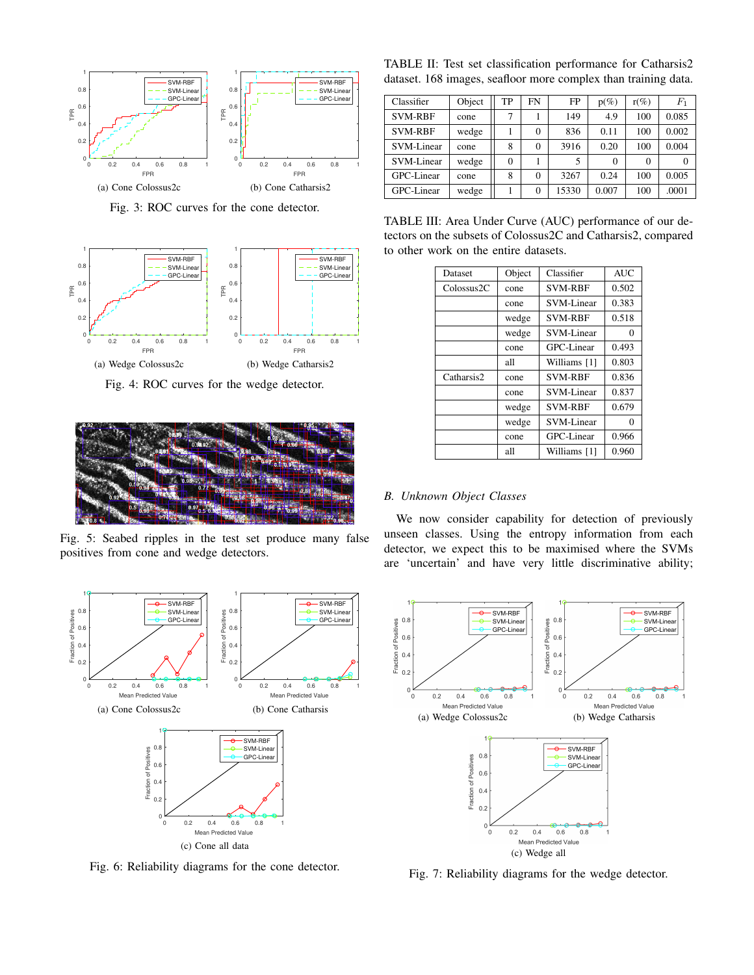

Fig. 3: ROC curves for the cone detector.



Fig. 4: ROC curves for the wedge detector.



Fig. 5: Seabed ripples in the test set produce many false positives from cone and wedge detectors.



Fig. 6: Reliability diagrams for the cone detector.

TABLE II: Test set classification performance for Catharsis2 dataset. 168 images, seafloor more complex than training data.

| Classifier     | Object | TP       | FN | FP    | $p(\%)$  | $r(\%)$  | $_{F_1}$ |
|----------------|--------|----------|----|-------|----------|----------|----------|
| <b>SVM-RBF</b> | cone   | 7        |    | 149   | 4.9      | 100      | 0.085    |
| <b>SVM-RBF</b> | wedge  |          |    | 836   | 0.11     | 100      | 0.002    |
| SVM-Linear     | cone   | 8        |    | 3916  | 0.20     | 100      | 0.004    |
| SVM-Linear     | wedge  | $\theta$ |    |       | $\Omega$ | $\Omega$ |          |
| GPC-Linear     | cone   | 8        | 0  | 3267  | 0.24     | 100      | 0.005    |
| GPC-Linear     | wedge  |          | 0  | 15330 | 0.007    | 100      | .0001    |

TABLE III: Area Under Curve (AUC) performance of our detectors on the subsets of Colossus2C and Catharsis2, compared to other work on the entire datasets.

| Dataset    | Object | Classifier     | <b>AUC</b> |
|------------|--------|----------------|------------|
| Colossus2C | cone   | <b>SVM-RBF</b> | 0.502      |
|            | cone   | SVM-Linear     | 0.383      |
|            | wedge  | <b>SVM-RBF</b> | 0.518      |
|            | wedge  | SVM-Linear     | 0          |
|            | cone   | GPC-Linear     | 0.493      |
|            | all    | Williams [1]   | 0.803      |
| Catharsis2 | cone   | <b>SVM-RBF</b> | 0.836      |
|            | cone   | SVM-Linear     | 0.837      |
|            | wedge  | <b>SVM-RBF</b> | 0.679      |
|            | wedge  | SVM-Linear     | 0          |
|            | cone   | GPC-Linear     | 0.966      |
|            | all    | Williams [1]   | 0.960      |

## *B. Unknown Object Classes*

We now consider capability for detection of previously unseen classes. Using the entropy information from each detector, we expect this to be maximised where the SVMs are 'uncertain' and have very little discriminative ability;



Fig. 7: Reliability diagrams for the wedge detector.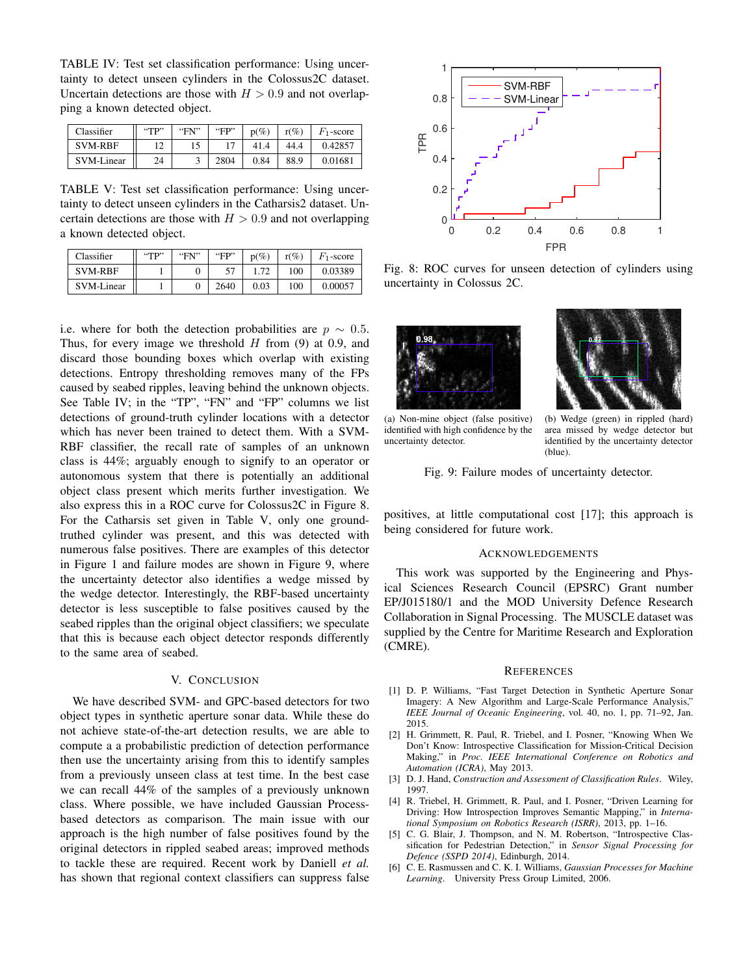TABLE IV: Test set classification performance: Using uncertainty to detect unseen cylinders in the Colossus2C dataset. Uncertain detections are those with  $H > 0.9$  and not overlapping a known detected object.

| Classifier     | $'$ <sup>*</sup> | "FN" | "FP" | $p(\%)$ | $r\mathcal{C}$ | $F_1$ -score |
|----------------|------------------|------|------|---------|----------------|--------------|
| <b>SVM-RBF</b> | ∸                |      |      | 41.4    | 44.4           | 0.42857      |
| SVM-Linear     | 24               |      | 2804 | 0.84    | 88.9           | 0.01681      |

TABLE V: Test set classification performance: Using uncertainty to detect unseen cylinders in the Catharsis2 dataset. Uncertain detections are those with  $H > 0.9$  and not overlapping a known detected object.

| Classifier     | "TP" | "FN" | "FP" | $p(\%)$ | $r(\%)$ | $F_1$ -score |
|----------------|------|------|------|---------|---------|--------------|
| <b>SVM-RBF</b> |      |      |      | .72     | 100     | 0.03389      |
| SVM-Linear     |      |      | 2640 | 0.03    | 100     | 0.00057      |

i.e. where for both the detection probabilities are  $p \sim 0.5$ . Thus, for every image we threshold  $H$  from (9) at 0.9, and discard those bounding boxes which overlap with existing detections. Entropy thresholding removes many of the FPs caused by seabed ripples, leaving behind the unknown objects. See Table IV; in the "TP", "FN" and "FP" columns we list detections of ground-truth cylinder locations with a detector which has never been trained to detect them. With a SVM-RBF classifier, the recall rate of samples of an unknown class is 44%; arguably enough to signify to an operator or autonomous system that there is potentially an additional object class present which merits further investigation. We also express this in a ROC curve for Colossus2C in Figure 8. For the Catharsis set given in Table V, only one groundtruthed cylinder was present, and this was detected with numerous false positives. There are examples of this detector in Figure 1 and failure modes are shown in Figure 9, where the uncertainty detector also identifies a wedge missed by the wedge detector. Interestingly, the RBF-based uncertainty detector is less susceptible to false positives caused by the seabed ripples than the original object classifiers; we speculate that this is because each object detector responds differently to the same area of seabed.

#### V. CONCLUSION

We have described SVM- and GPC-based detectors for two object types in synthetic aperture sonar data. While these do not achieve state-of-the-art detection results, we are able to compute a a probabilistic prediction of detection performance then use the uncertainty arising from this to identify samples from a previously unseen class at test time. In the best case we can recall 44% of the samples of a previously unknown class. Where possible, we have included Gaussian Processbased detectors as comparison. The main issue with our approach is the high number of false positives found by the original detectors in rippled seabed areas; improved methods to tackle these are required. Recent work by Daniell *et al.* has shown that regional context classifiers can suppress false



Fig. 8: ROC curves for unseen detection of cylinders using uncertainty in Colossus 2C.



(a) Non-mine object (false positive) identified with high confidence by the uncertainty detector.



(b) Wedge (green) in rippled (hard) area missed by wedge detector but identified by the uncertainty detector (blue).

Fig. 9: Failure modes of uncertainty detector.

positives, at little computational cost [17]; this approach is being considered for future work.

#### ACKNOWLEDGEMENTS

This work was supported by the Engineering and Physical Sciences Research Council (EPSRC) Grant number EP/J015180/1 and the MOD University Defence Research Collaboration in Signal Processing. The MUSCLE dataset was supplied by the Centre for Maritime Research and Exploration (CMRE).

#### **REFERENCES**

- [1] D. P. Williams, "Fast Target Detection in Synthetic Aperture Sonar Imagery: A New Algorithm and Large-Scale Performance Analysis," *IEEE Journal of Oceanic Engineering*, vol. 40, no. 1, pp. 71–92, Jan. 2015.
- [2] H. Grimmett, R. Paul, R. Triebel, and I. Posner, "Knowing When We Don't Know: Introspective Classification for Mission-Critical Decision Making," in *Proc. IEEE International Conference on Robotics and Automation (ICRA)*, May 2013.
- [3] D. J. Hand, *Construction and Assessment of Classification Rules*. Wiley, 1997.
- [4] R. Triebel, H. Grimmett, R. Paul, and I. Posner, "Driven Learning for Driving: How Introspection Improves Semantic Mapping," in *International Symposium on Robotics Research (ISRR)*, 2013, pp. 1–16.
- [5] C. G. Blair, J. Thompson, and N. M. Robertson, "Introspective Classification for Pedestrian Detection," in *Sensor Signal Processing for Defence (SSPD 2014)*, Edinburgh, 2014.
- [6] C. E. Rasmussen and C. K. I. Williams, *Gaussian Processes for Machine Learning*. University Press Group Limited, 2006.